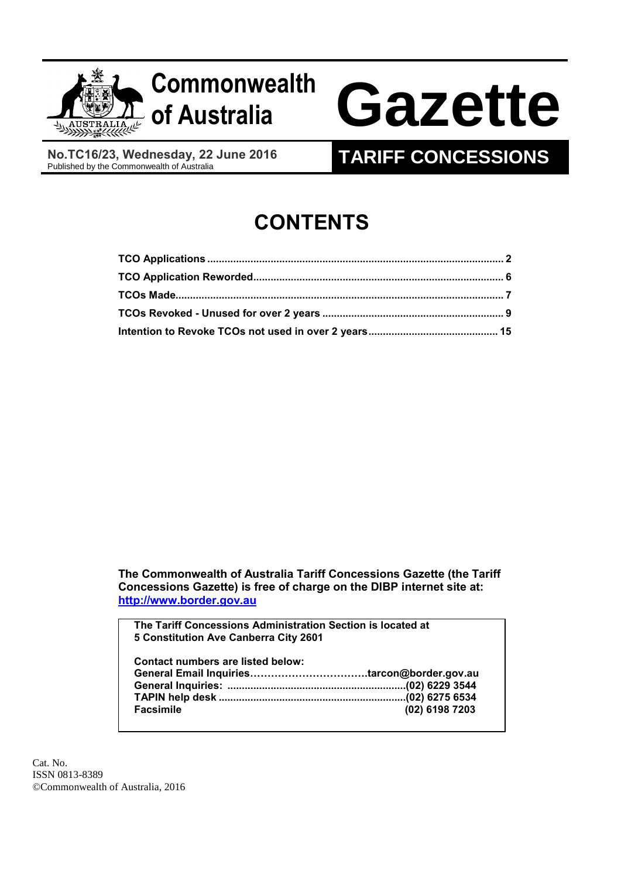

**of Australia Gazette**

**No.TC16/23, Wednesday, 22 June 2016**

# **TARIFF CONCESSIONS**

# **CONTENTS**

**The Commonwealth of Australia Tariff Concessions Gazette (the Tariff Concessions Gazette) is free of charge on the DIBP internet site at: [http://www.border.gov.au](http://www.border.gov.au/)**

**The Tariff Concessions Administration Section is located at 5 Constitution Ave Canberra City 2601**

| Contact numbers are listed below: |                |
|-----------------------------------|----------------|
|                                   |                |
|                                   |                |
|                                   |                |
| <b>Facsimile</b>                  | (02) 6198 7203 |

Cat. No. ISSN 0813-8389 ©Commonwealth of Australia, 2016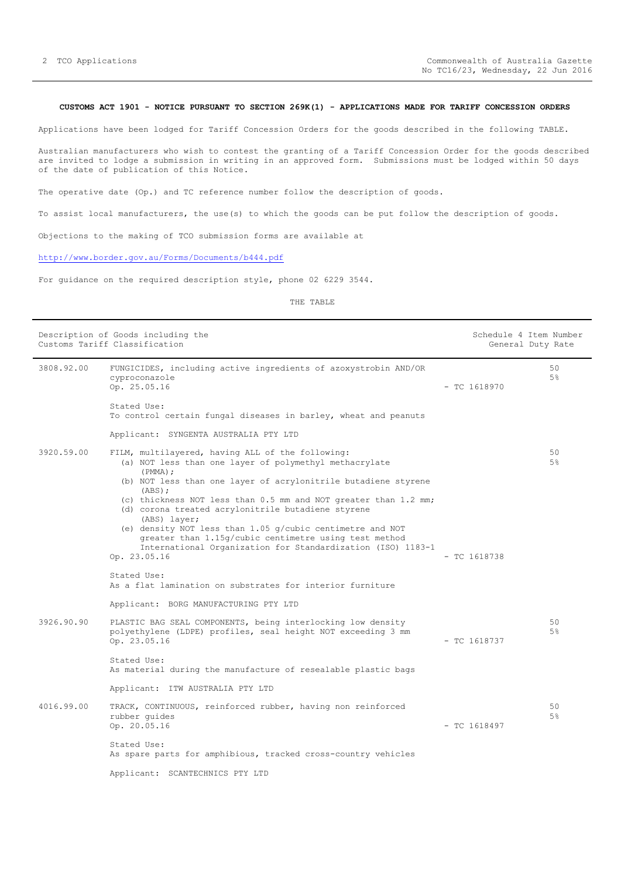## <span id="page-1-0"></span>**CUSTOMS ACT 1901 - NOTICE PURSUANT TO SECTION 269K(1) - APPLICATIONS MADE FOR TARIFF CONCESSION ORDERS**

Applications have been lodged for Tariff Concession Orders for the goods described in the following TABLE.

Australian manufacturers who wish to contest the granting of a Tariff Concession Order for the goods described are invited to lodge a submission in writing in an approved form. Submissions must be lodged within 50 days of the date of publication of this Notice.

The operative date (Op.) and TC reference number follow the description of goods.

To assist local manufacturers, the use(s) to which the goods can be put follow the description of goods.

Objections to the making of TCO submission forms are available at

## <http://www.border.gov.au/Forms/Documents/b444.pdf>

For guidance on the required description style, phone 02 6229 3544.

THE TABLE

|            | Description of Goods including the<br>Customs Tariff Classification                                                                                                                                 | Schedule 4 Item Number | General Duty Rate    |
|------------|-----------------------------------------------------------------------------------------------------------------------------------------------------------------------------------------------------|------------------------|----------------------|
| 3808.92.00 | FUNGICIDES, including active ingredients of azoxystrobin AND/OR<br>cyproconazole<br>Op. 25.05.16                                                                                                    | $-$ TC 1618970         | 50<br>5%             |
|            | Stated Use:<br>To control certain fungal diseases in barley, wheat and peanuts                                                                                                                      |                        |                      |
|            | Applicant: SYNGENTA AUSTRALIA PTY LTD                                                                                                                                                               |                        |                      |
| 3920.59.00 | FILM, multilayered, having ALL of the following:<br>(a) NOT less than one layer of polymethyl methacrylate<br>$(PMMA)$ ;<br>(b) NOT less than one layer of acrylonitrile butadiene styrene          |                        | 50<br>5 <sup>°</sup> |
|            | (ABS);<br>(c) thickness NOT less than 0.5 mm and NOT greater than 1.2 mm;<br>(d) corona treated acrylonitrile butadiene styrene<br>(ABS) layer;                                                     |                        |                      |
|            | (e) density NOT less than $1.05$ g/cubic centimetre and NOT<br>greater than 1.15g/cubic centimetre using test method<br>International Organization for Standardization (ISO) 1183-1<br>Op. 23.05.16 | $-$ TC 1618738         |                      |
|            | Stated Use:<br>As a flat lamination on substrates for interior furniture                                                                                                                            |                        |                      |
|            | Applicant: BORG MANUFACTURING PTY LTD                                                                                                                                                               |                        |                      |
| 3926.90.90 | PLASTIC BAG SEAL COMPONENTS, being interlocking low density<br>polyethylene (LDPE) profiles, seal height NOT exceeding 3 mm<br>Op. 23.05.16                                                         | $-$ TC 1618737         | 50<br>5%             |
|            | Stated Use:<br>As material during the manufacture of resealable plastic bags                                                                                                                        |                        |                      |
|            | Applicant: ITW AUSTRALIA PTY LTD                                                                                                                                                                    |                        |                      |
| 4016.99.00 | TRACK, CONTINUOUS, reinforced rubber, having non reinforced<br>rubber quides<br>Op. 20.05.16                                                                                                        | $-$ TC 1618497         | 50<br>5%             |
|            | Stated Use:<br>As spare parts for amphibious, tracked cross-country vehicles                                                                                                                        |                        |                      |
|            | Applicant: SCANTECHNICS PTY LTD                                                                                                                                                                     |                        |                      |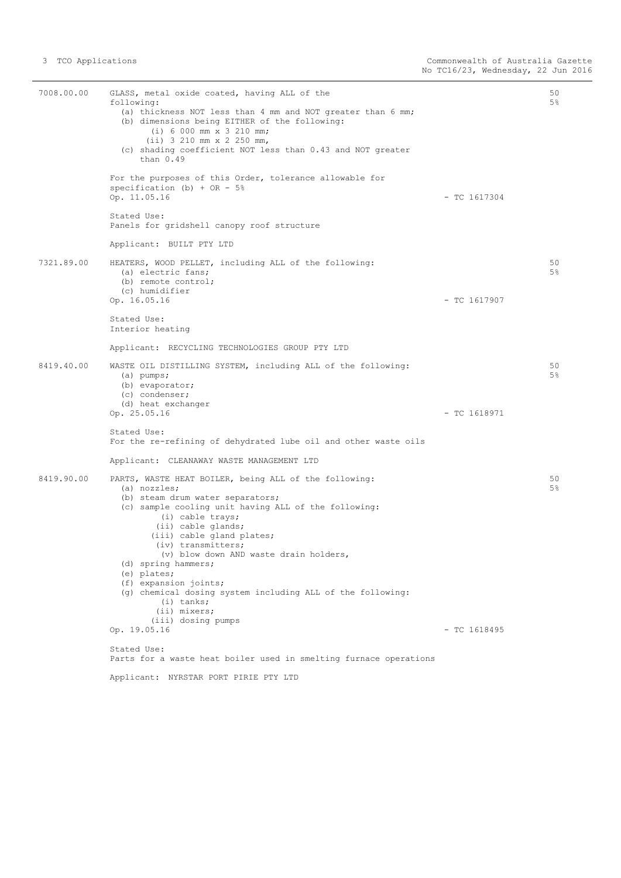| 7008.00.00 | GLASS, metal oxide coated, having ALL of the<br>following:<br>(a) thickness NOT less than 4 mm and NOT greater than 6 mm;<br>(b) dimensions being EITHER of the following:<br>$(i) 6 000 mm \times 3 210 mm;$<br>$(ii)$ 3 210 mm x 2 250 mm,<br>(c) shading coefficient NOT less than 0.43 and NOT greater<br>than $0.49$                                                                                                                                                 |                | 50<br>$5\%$ |
|------------|---------------------------------------------------------------------------------------------------------------------------------------------------------------------------------------------------------------------------------------------------------------------------------------------------------------------------------------------------------------------------------------------------------------------------------------------------------------------------|----------------|-------------|
|            | For the purposes of this Order, tolerance allowable for<br>specification (b) + OR - $5%$<br>Op. 11.05.16                                                                                                                                                                                                                                                                                                                                                                  | $-$ TC 1617304 |             |
|            | Stated Use:<br>Panels for gridshell canopy roof structure                                                                                                                                                                                                                                                                                                                                                                                                                 |                |             |
|            | Applicant: BUILT PTY LTD                                                                                                                                                                                                                                                                                                                                                                                                                                                  |                |             |
| 7321.89.00 | HEATERS, WOOD PELLET, including ALL of the following:<br>(a) electric fans;<br>(b) remote control;<br>(c) humidifier<br>Op. 16.05.16                                                                                                                                                                                                                                                                                                                                      | $-$ TC 1617907 | 50<br>5%    |
|            | Stated Use:<br>Interior heating                                                                                                                                                                                                                                                                                                                                                                                                                                           |                |             |
|            | Applicant: RECYCLING TECHNOLOGIES GROUP PTY LTD                                                                                                                                                                                                                                                                                                                                                                                                                           |                |             |
| 8419.40.00 | WASTE OIL DISTILLING SYSTEM, including ALL of the following:<br>$(a)$ pumps;<br>(b) evaporator;<br>(c) condenser;<br>(d) heat exchanger<br>Op. 25.05.16                                                                                                                                                                                                                                                                                                                   | $-$ TC 1618971 | 50<br>$5\%$ |
|            | Stated Use:<br>For the re-refining of dehydrated lube oil and other waste oils                                                                                                                                                                                                                                                                                                                                                                                            |                |             |
|            | Applicant: CLEANAWAY WASTE MANAGEMENT LTD                                                                                                                                                                                                                                                                                                                                                                                                                                 |                |             |
| 8419.90.00 | PARTS, WASTE HEAT BOILER, being ALL of the following:<br>$(a)$ nozzles;<br>(b) steam drum water separators;<br>(c) sample cooling unit having ALL of the following:<br>(i) cable trays;<br>(ii) cable glands;<br>(iii) cable gland plates;<br>(iv) transmitters;<br>(v) blow down AND waste drain holders,<br>(d) spring hammers;<br>$(e)$ plates;<br>(f) expansion joints;<br>(q) chemical dosing system including ALL of the following:<br>$(i)$ tanks;<br>(ii) mixers; |                | 50<br>$5\%$ |
|            | (iii) dosing pumps<br>Op. 19.05.16                                                                                                                                                                                                                                                                                                                                                                                                                                        | $-$ TC 1618495 |             |
|            | Stated Use:<br>Parts for a waste heat boiler used in smelting furnace operations                                                                                                                                                                                                                                                                                                                                                                                          |                |             |
|            | Applicant: NYRSTAR PORT PIRIE PTY LTD                                                                                                                                                                                                                                                                                                                                                                                                                                     |                |             |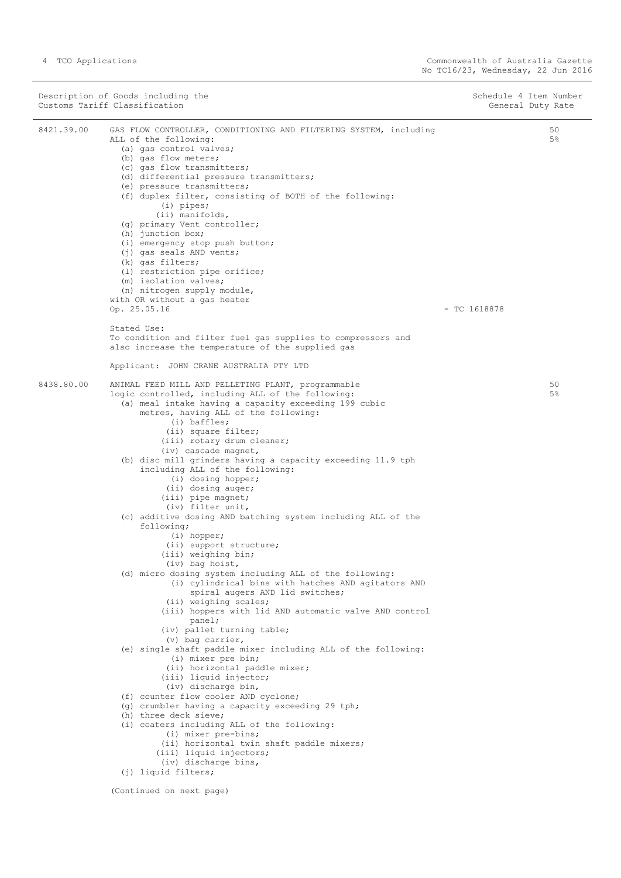|            | Description of Goods including the<br>Customs Tariff Classification                                                                                                                                                                                                                                                                                                                                                                                                                                                                                                                                                                      | Schedule 4 Item Number<br>General Duty Rate |
|------------|------------------------------------------------------------------------------------------------------------------------------------------------------------------------------------------------------------------------------------------------------------------------------------------------------------------------------------------------------------------------------------------------------------------------------------------------------------------------------------------------------------------------------------------------------------------------------------------------------------------------------------------|---------------------------------------------|
| 8421.39.00 | GAS FLOW CONTROLLER, CONDITIONING AND FILTERING SYSTEM, including<br>ALL of the following:<br>(a) gas control valves;<br>(b) gas flow meters;<br>(c) gas flow transmitters;<br>(d) differential pressure transmitters;<br>(e) pressure transmitters;<br>(f) duplex filter, consisting of BOTH of the following:<br>$(i)$ pipes;<br>(ii) manifolds,<br>(q) primary Vent controller;<br>(h) junction box;<br>(i) emergency stop push button;<br>(j) gas seals AND vents;<br>(k) gas filters;<br>(1) restriction pipe orifice;<br>(m) isolation valves;<br>(n) nitrogen supply module,<br>with OR without a gas heater<br>Op. 25.05.16      | 50<br>5 <sup>8</sup><br>$-$ TC 1618878      |
|            | Stated Use:<br>To condition and filter fuel gas supplies to compressors and<br>also increase the temperature of the supplied gas                                                                                                                                                                                                                                                                                                                                                                                                                                                                                                         |                                             |
|            | Applicant: JOHN CRANE AUSTRALIA PTY LTD                                                                                                                                                                                                                                                                                                                                                                                                                                                                                                                                                                                                  |                                             |
| 8438.80.00 | ANIMAL FEED MILL AND PELLETING PLANT, programmable<br>logic controlled, including ALL of the following:<br>(a) meal intake having a capacity exceeding 199 cubic<br>metres, having ALL of the following:<br>$(i)$ baffles;<br>(ii) square filter;<br>(iii) rotary drum cleaner;<br>(iv) cascade magnet,<br>(b) disc mill grinders having a capacity exceeding 11.9 tph<br>including ALL of the following:<br>(i) dosing hopper;                                                                                                                                                                                                          | 50<br>$5\%$                                 |
|            | (ii) dosing auger;<br>(iii) pipe magnet;<br>(iv) filter unit,<br>(c) additive dosing AND batching system including ALL of the<br>following;<br>$(i)$ hopper;<br>(ii) support structure;<br>(iii) weighing bin;<br>(iv) bag hoist,<br>(d) micro dosing system including ALL of the following:<br>(i) cylindrical bins with hatches AND agitators AND<br>spiral augers AND lid switches;                                                                                                                                                                                                                                                   |                                             |
|            | (ii) weighing scales;<br>(iii) hoppers with lid AND automatic valve AND control<br>panel;<br>(iv) pallet turning table;<br>$(v)$ bag carrier,<br>(e) single shaft paddle mixer including ALL of the following:<br>(i) mixer pre bin;<br>(ii) horizontal paddle mixer;<br>(iii) liquid injector;<br>(iv) discharge bin,<br>(f) counter flow cooler AND cyclone;<br>(g) crumbler having a capacity exceeding 29 tph;<br>(h) three deck sieve;<br>(i) coaters including ALL of the following:<br>(i) mixer pre-bins;<br>(ii) horizontal twin shaft paddle mixers;<br>(iii) liquid injectors;<br>(iv) discharge bins,<br>(j) liquid filters; |                                             |
|            | (Continued on next page)                                                                                                                                                                                                                                                                                                                                                                                                                                                                                                                                                                                                                 |                                             |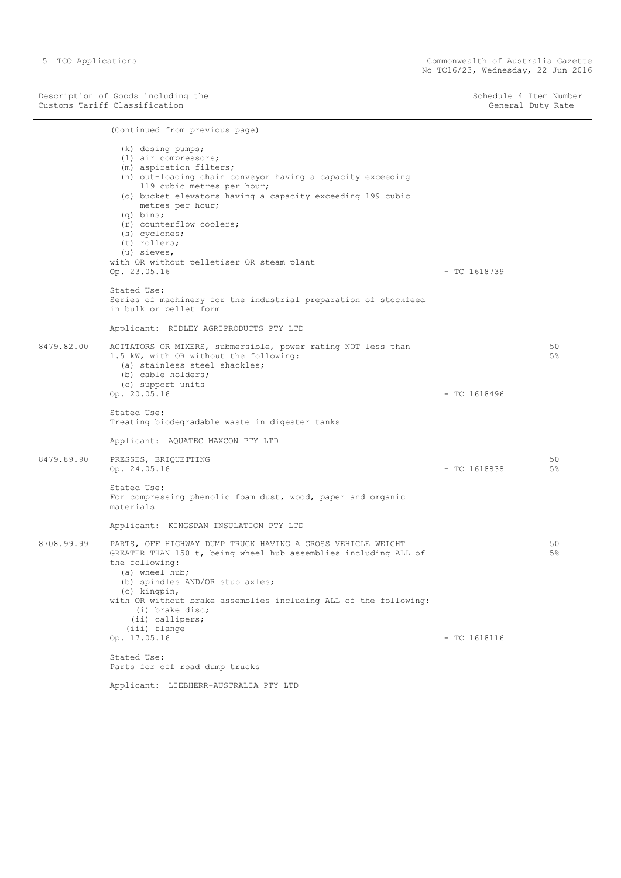Description of Goods including the Schedule 4 Item Number<br>
Customs Tariff Classification<br>
Schedule 4 Item Number Customs Tariff Classification

(Continued from previous page) (k) dosing pumps; (l) air compressors; (m) aspiration filters; (n) out-loading chain conveyor having a capacity exceeding 119 cubic metres per hour; (o) bucket elevators having a capacity exceeding 199 cubic metres per hour; (q) bins; (r) counterflow coolers; (s) cyclones; (t) rollers; (u) sieves, with OR without pelletiser OR steam plant Op. 23.05.16 - TC 1618739 Stated Use: Series of machinery for the industrial preparation of stockfeed in bulk or pellet form Applicant: RIDLEY AGRIPRODUCTS PTY LTD 8479.82.00 AGITATORS OR MIXERS, submersible, power rating NOT less than 1.5 kW, with OR without the following: (a) stainless steel shackles; (b) cable holders; (c) support units Op. 20.05.16 - TC 1618496 Stated Use: Treating biodegradable waste in digester tanks Applicant: AQUATEC MAXCON PTY LTD 50 5% 8479.89.90 PRESSES, BRIQUETTING  $Op. 24.05.16$  - TC 1618838 Stated Use: For compressing phenolic foam dust, wood, paper and organic materials Applicant: KINGSPAN INSULATION PTY LTD 50 5% 8708.99.99 PARTS, OFF HIGHWAY DUMP TRUCK HAVING A GROSS VEHICLE WEIGHT GREATER THAN 150 t, being wheel hub assemblies including ALL of the following: (a) wheel hub; (b) spindles AND/OR stub axles; (c) kingpin, with OR without brake assemblies including ALL of the following: (i) brake disc; (ii) callipers; (iii) flange  $\Omega_{\rm D}$ , 17.05.16 - TC 1618116 Stated Use: Parts for off road dump trucks 50 5%

Applicant: LIEBHERR-AUSTRALIA PTY LTD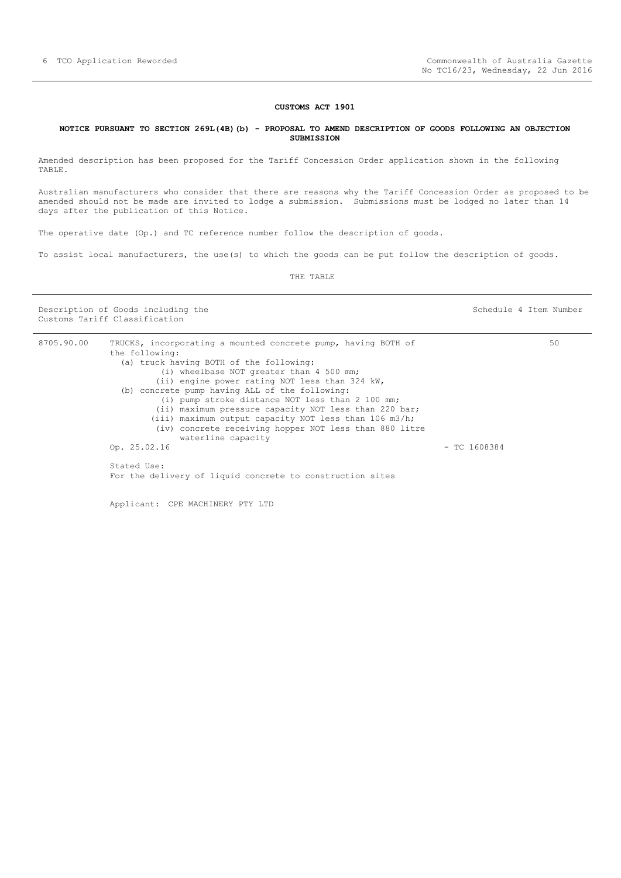#### **CUSTOMS ACT 1901**

### <span id="page-5-0"></span>**NOTICE PURSUANT TO SECTION 269L(4B)(b) - PROPOSAL TO AMEND DESCRIPTION OF GOODS FOLLOWING AN OBJECTION SUBMISSION**

Amended description has been proposed for the Tariff Concession Order application shown in the following TABLE.

Australian manufacturers who consider that there are reasons why the Tariff Concession Order as proposed to be amended should not be made are invited to lodge a submission. Submissions must be lodged no later than 14 days after the publication of this Notice.

The operative date (Op.) and TC reference number follow the description of goods.

To assist local manufacturers, the use(s) to which the goods can be put follow the description of goods.

THE TABLE

Description of Goods including the Schedule 4 Item Number Customs Tariff Classification

| 8705.90.00 | TRUCKS, incorporating a mounted concrete pump, having BOTH of |                | 50 |
|------------|---------------------------------------------------------------|----------------|----|
|            | the following:                                                |                |    |
|            | (a) truck having BOTH of the following:                       |                |    |
|            | (i) wheelbase NOT greater than 4 500 mm;                      |                |    |
|            | (ii) engine power rating NOT less than 324 kW,                |                |    |
|            | (b) concrete pump having ALL of the following:                |                |    |
|            | (i) pump stroke distance NOT less than 2 100 mm;              |                |    |
|            | (ii) maximum pressure capacity NOT less than 220 bar;         |                |    |
|            | (iii) maximum output capacity NOT less than $106$ m3/h;       |                |    |
|            | (iv) concrete receiving hopper NOT less than 880 litre        |                |    |
|            | waterline capacity                                            |                |    |
|            | Op. 25.02.16                                                  | $-$ TC 1608384 |    |
|            | Stated Use:                                                   |                |    |
|            | For the delivery of liquid concrete to construction sites     |                |    |
|            |                                                               |                |    |
|            |                                                               |                |    |

Applicant: CPE MACHINERY PTY LTD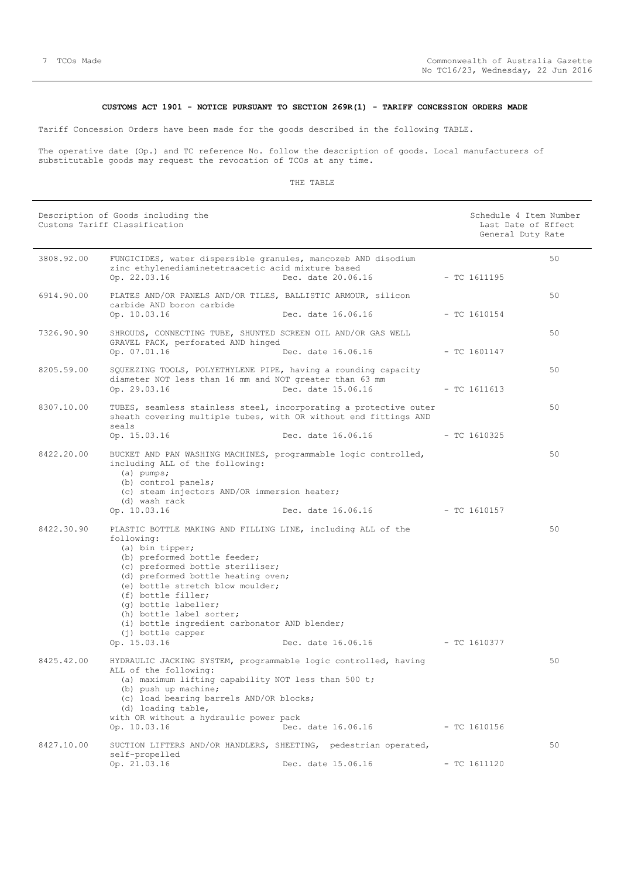# **CUSTOMS ACT 1901 - NOTICE PURSUANT TO SECTION 269R(1) - TARIFF CONCESSION ORDERS MADE**

<span id="page-6-0"></span>Tariff Concession Orders have been made for the goods described in the following TABLE.

The operative date (Op.) and TC reference No. follow the description of goods. Local manufacturers of substitutable goods may request the revocation of TCOs at any time.

### THE TABLE

|            | Description of Goods including the<br>Customs Tariff Classification                                                                                                                                                                                                                                                                                                                                         |                                          | Schedule 4 Item Number<br>Last Date of Effect<br>General Duty Rate |    |
|------------|-------------------------------------------------------------------------------------------------------------------------------------------------------------------------------------------------------------------------------------------------------------------------------------------------------------------------------------------------------------------------------------------------------------|------------------------------------------|--------------------------------------------------------------------|----|
| 3808.92.00 | FUNGICIDES, water dispersible granules, mancozeb AND disodium<br>zinc ethylenediaminetetraacetic acid mixture based<br>Op. 22.03.16                                                                                                                                                                                                                                                                         | Dec. date 20.06.16                       | $-$ TC 1611195                                                     | 50 |
| 6914.90.00 | PLATES AND/OR PANELS AND/OR TILES, BALLISTIC ARMOUR, silicon<br>carbide AND boron carbide<br>Op. 10.03.16                                                                                                                                                                                                                                                                                                   | Dec. date 16.06.16                       | $-$ TC 1610154                                                     | 50 |
| 7326.90.90 | SHROUDS, CONNECTING TUBE, SHUNTED SCREEN OIL AND/OR GAS WELL<br>GRAVEL PACK, perforated AND hinged<br>Op. 07.01.16                                                                                                                                                                                                                                                                                          | Dec. date 16.06.16                       | $-$ TC 1601147                                                     | 50 |
| 8205.59.00 | SQUEEZING TOOLS, POLYETHYLENE PIPE, having a rounding capacity<br>diameter NOT less than 16 mm and NOT greater than 63 mm<br>Op. 29.03.16                                                                                                                                                                                                                                                                   | Dec. date 15.06.16                       | $-$ TC 1611613                                                     | 50 |
| 8307.10.00 | TUBES, seamless stainless steel, incorporating a protective outer<br>sheath covering multiple tubes, with OR without end fittings AND<br>seals                                                                                                                                                                                                                                                              |                                          |                                                                    | 50 |
| 8422.20.00 | Op. 15.03.16<br>BUCKET AND PAN WASHING MACHINES, programmable logic controlled,<br>including ALL of the following:<br>$(a)$ pumps;<br>(b) control panels;<br>(c) steam injectors AND/OR immersion heater;<br>(d) wash rack<br>Op. 10.03.16                                                                                                                                                                  | Dec. date 16.06.16<br>Dec. date 16.06.16 | $-$ TC 1610325<br>- TC 1610157                                     | 50 |
| 8422.30.90 | PLASTIC BOTTLE MAKING AND FILLING LINE, including ALL of the<br>following:<br>(a) bin tipper;<br>(b) preformed bottle feeder;<br>(c) preformed bottle steriliser;<br>(d) preformed bottle heating oven;<br>(e) bottle stretch blow moulder;<br>(f) bottle filler;<br>(q) bottle labeller;<br>(h) bottle label sorter;<br>(i) bottle ingredient carbonator AND blender;<br>(j) bottle capper<br>Op. 15.03.16 | Dec. date 16.06.16                       | - TC 1610377                                                       | 50 |
| 8425.42.00 | HYDRAULIC JACKING SYSTEM, programmable logic controlled, having<br>ALL of the following:<br>(a) maximum lifting capability NOT less than 500 t;<br>(b) push up machine;<br>(c) load bearing barrels AND/OR blocks;<br>(d) loading table,<br>with OR without a hydraulic power pack<br>Op. 10.03.16                                                                                                          | Dec. date 16.06.16                       | $-$ TC 1610156                                                     | 50 |
| 8427.10.00 | SUCTION LIFTERS AND/OR HANDLERS, SHEETING, pedestrian operated,<br>self-propelled<br>Op. 21.03.16                                                                                                                                                                                                                                                                                                           | Dec. date 15.06.16                       | $- TC 1611120$                                                     | 50 |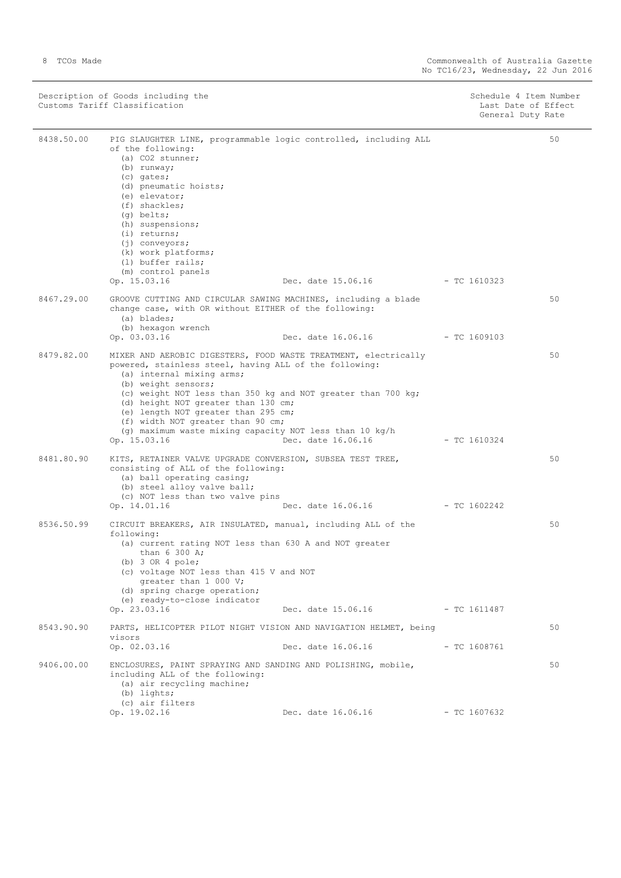| Description of Goods including the | Schedule 4 Item Number |
|------------------------------------|------------------------|
| Customs Tariff Classification      | Last Date of Effect    |
|                                    | General Duty Rate      |

| 8438.50.00 | PIG SLAUGHTER LINE, programmable logic controlled, including ALL<br>of the following:<br>(a) CO2 stunner;<br>(b) runway;<br>(c) gates;<br>(d) pneumatic hoists;<br>(e) elevator;<br>$(f)$ shackles;<br>$(q)$ belts;<br>(h) suspensions;<br>$(i)$ returns;<br>$(j)$ conveyors;<br>(k) work platforms;<br>(1) buffer rails;<br>(m) control panels<br>Op. 15.03.16                                                                               | Dec. date 15.06.16 - TC 1610323 |                | 50 |
|------------|-----------------------------------------------------------------------------------------------------------------------------------------------------------------------------------------------------------------------------------------------------------------------------------------------------------------------------------------------------------------------------------------------------------------------------------------------|---------------------------------|----------------|----|
| 8467.29.00 | GROOVE CUTTING AND CIRCULAR SAWING MACHINES, including a blade<br>change case, with OR without EITHER of the following:<br>(a) blades;<br>(b) hexagon wrench<br>Op. 03.03.16                                                                                                                                                                                                                                                                  | Dec. date 16.06.16              | - TC 1609103   | 50 |
| 8479.82.00 | MIXER AND AEROBIC DIGESTERS, FOOD WASTE TREATMENT, electrically<br>powered, stainless steel, having ALL of the following:<br>(a) internal mixing arms;<br>(b) weight sensors;<br>(c) weight NOT less than 350 kg and NOT greater than 700 kg;<br>(d) height NOT greater than 130 cm;<br>(e) length NOT greater than 295 cm;<br>(f) width NOT greater than 90 cm;<br>(q) maximum waste mixing capacity NOT less than 10 $kg/h$<br>Op. 15.03.16 | Dec. date 16.06.16              | - TC 1610324   | 50 |
| 8481.80.90 | KITS, RETAINER VALVE UPGRADE CONVERSION, SUBSEA TEST TREE,<br>consisting of ALL of the following:<br>(a) ball operating casing;<br>(b) steel alloy valve ball;<br>(c) NOT less than two valve pins<br>Op. 14.01.16                                                                                                                                                                                                                            | Dec. date 16.06.16              | $-$ TC 1602242 | 50 |
| 8536.50.99 | CIRCUIT BREAKERS, AIR INSULATED, manual, including ALL of the<br>following:<br>(a) current rating NOT less than 630 A and NOT greater<br>than 6 300 A;<br>(b) $3$ OR $4$ pole;<br>(c) voltage NOT less than 415 V and NOT<br>greater than 1 000 V;<br>(d) spring charge operation;<br>(e) ready-to-close indicator<br>Op. 23.03.16                                                                                                            | Dec. date 15.06.16              | $-$ TC 1611487 | 50 |
| 8543.90.90 | PARTS, HELICOPTER PILOT NIGHT VISION AND NAVIGATION HELMET, being<br>visors<br>Op. 02.03.16                                                                                                                                                                                                                                                                                                                                                   | Dec. date 16.06.16              | - TC 1608761   | 50 |
| 9406.00.00 | ENCLOSURES, PAINT SPRAYING AND SANDING AND POLISHING, mobile,<br>including ALL of the following:<br>(a) air recycling machine;<br>$(b)$ lights;<br>(c) air filters<br>Op. 19.02.16                                                                                                                                                                                                                                                            | Dec. date 16.06.16              | $-$ TC 1607632 | 50 |
|            |                                                                                                                                                                                                                                                                                                                                                                                                                                               |                                 |                |    |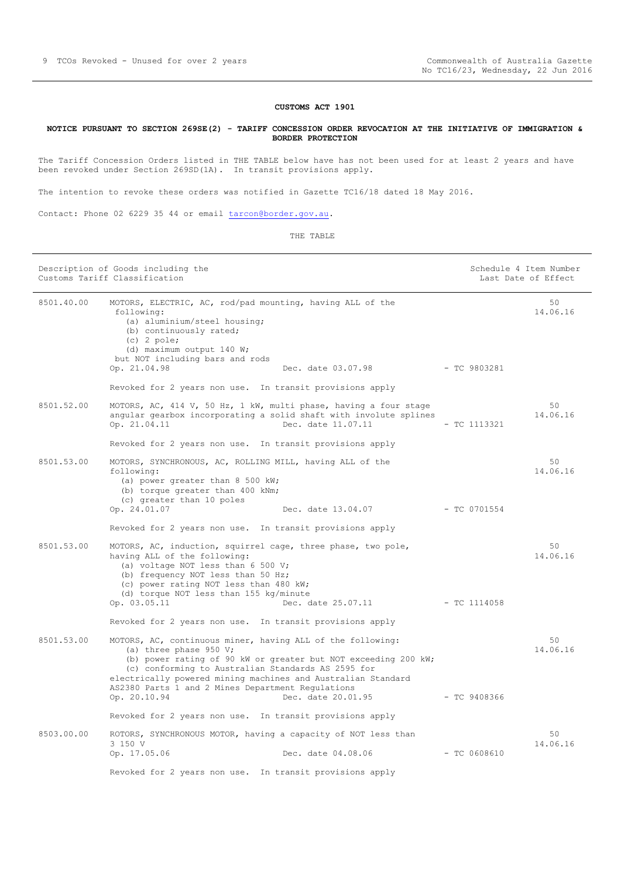# **CUSTOMS ACT 1901**

#### <span id="page-8-0"></span>**NOTICE PURSUANT TO SECTION 269SE(2) - TARIFF CONCESSION ORDER REVOCATION AT THE INITIATIVE OF IMMIGRATION & BORDER PROTECTION**

The Tariff Concession Orders listed in THE TABLE below have has not been used for at least 2 years and have been revoked under Section 269SD(1A). In transit provisions apply.

The intention to revoke these orders was notified in Gazette TC16/18 dated 18 May 2016.

Contact: Phone 02 6229 35 44 or email [tarcon@border.gov.au.](mailto:tarcon@border.gov.au)

THE TABLE

|            | Description of Goods including the<br>Customs Tariff Classification                                                                                                                                                                                                             |                    | Schedule 4 Item Number<br>Last Date of Effect |
|------------|---------------------------------------------------------------------------------------------------------------------------------------------------------------------------------------------------------------------------------------------------------------------------------|--------------------|-----------------------------------------------|
| 8501.40.00 | MOTORS, ELECTRIC, AC, rod/pad mounting, having ALL of the<br>following:<br>(a) aluminium/steel housing;<br>(b) continuously rated;<br>$(c)$ 2 pole;<br>(d) maximum output 140 W;<br>but NOT including bars and rods                                                             |                    | 50<br>14.06.16                                |
|            | Op. 21.04.98<br>Dec. date 03.07.98                                                                                                                                                                                                                                              | $-TC9803281$       |                                               |
|            | Revoked for 2 years non use. In transit provisions apply                                                                                                                                                                                                                        |                    |                                               |
| 8501.52.00 | MOTORS, AC, 414 V, 50 Hz, 1 kW, multi phase, having a four stage<br>angular gearbox incorporating a solid shaft with involute splines<br>Dec. date 11.07.11<br>Op. 21.04.11                                                                                                     |                    | 50<br>14.06.16<br>- TC 1113321                |
|            | Revoked for 2 years non use. In transit provisions apply                                                                                                                                                                                                                        |                    |                                               |
| 8501.53.00 | MOTORS, SYNCHRONOUS, AC, ROLLING MILL, having ALL of the<br>following:<br>(a) power greater than 8 500 kW;<br>(b) torque greater than 400 kNm;<br>(c) greater than 10 poles                                                                                                     |                    | 50<br>14.06.16                                |
|            | Op. 24.01.07                                                                                                                                                                                                                                                                    | Dec. date 13.04.07 | $-$ TC 0701554                                |
|            | Revoked for 2 years non use. In transit provisions apply                                                                                                                                                                                                                        |                    |                                               |
| 8501.53.00 | MOTORS, AC, induction, squirrel cage, three phase, two pole,<br>having ALL of the following:<br>(a) voltage NOT less than 6 500 V;<br>(b) frequency NOT less than 50 Hz;<br>(c) power rating NOT less than 480 kW;<br>(d) torque NOT less than 155 kg/minute<br>Op. 03.05.11    | Dec. date 25.07.11 | 50<br>14.06.16<br>$-$ TC 1114058              |
|            | Revoked for 2 years non use. In transit provisions apply                                                                                                                                                                                                                        |                    |                                               |
| 8501.53.00 | MOTORS, AC, continuous miner, having ALL of the following:<br>(a) three phase $950 V$ ;<br>(b) power rating of 90 kW or greater but NOT exceeding 200 kW;<br>(c) conforming to Australian Standards AS 2595 for<br>electrically powered mining machines and Australian Standard |                    | 50<br>14.06.16                                |
|            | AS2380 Parts 1 and 2 Mines Department Regulations<br>Dec. date 20.01.95<br>Op. 20.10.94                                                                                                                                                                                         |                    | $-$ TC 9408366                                |
|            | Revoked for 2 years non use. In transit provisions apply                                                                                                                                                                                                                        |                    |                                               |
| 8503.00.00 | ROTORS, SYNCHRONOUS MOTOR, having a capacity of NOT less than                                                                                                                                                                                                                   |                    | 50                                            |
|            | 3 150 V<br>Op. 17.05.06<br>Dec. date 04.08.06                                                                                                                                                                                                                                   |                    | 14.06.16<br>$-$ TC 0608610                    |
|            | Revoked for 2 years non use. In transit provisions apply                                                                                                                                                                                                                        |                    |                                               |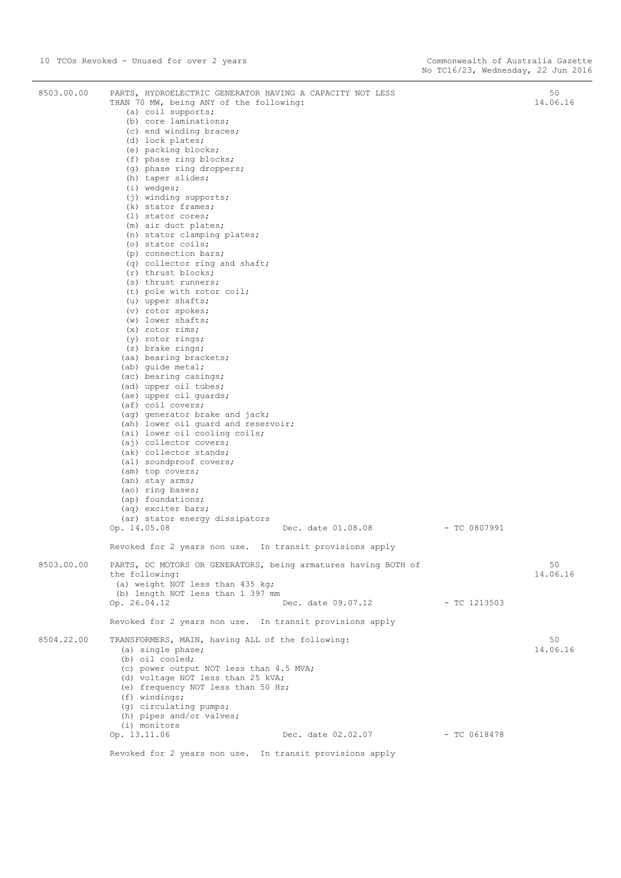| 8503.00.00 | PARTS, HYDROELECTRIC GENERATOR HAVING A CAPACITY NOT LESS<br>THAN 70 MW, being ANY of the following: |                | 50<br>14.06.16 |
|------------|------------------------------------------------------------------------------------------------------|----------------|----------------|
|            | (a) coil supports;                                                                                   |                |                |
|            | (b) core laminations;                                                                                |                |                |
|            | (c) end winding braces;<br>(d) lock plates;                                                          |                |                |
|            | (e) packing blocks;                                                                                  |                |                |
|            | (f) phase ring blocks;                                                                               |                |                |
|            | (g) phase ring droppers;                                                                             |                |                |
|            | (h) taper slides;<br>$(i)$ wedges;                                                                   |                |                |
|            | (j) winding supports;                                                                                |                |                |
|            | (k) stator frames;                                                                                   |                |                |
|            | $(l)$ stator cores;                                                                                  |                |                |
|            | (m) air duct plates;<br>(n) stator clamping plates;                                                  |                |                |
|            | (o) stator coils;                                                                                    |                |                |
|            | (p) connection bars;                                                                                 |                |                |
|            | (q) collector ring and shaft;                                                                        |                |                |
|            | (r) thrust blocks;<br>(s) thrust runners;                                                            |                |                |
|            | (t) pole with rotor coil;                                                                            |                |                |
|            | (u) upper shafts;                                                                                    |                |                |
|            | (v) rotor spokes;                                                                                    |                |                |
|            | $(w)$ lower shafts;<br>$(x)$ rotor rims;                                                             |                |                |
|            | (y) rotor rings;                                                                                     |                |                |
|            | (z) brake rings;                                                                                     |                |                |
|            | (aa) bearing brackets;                                                                               |                |                |
|            | (ab) quide metal;<br>(ac) bearing casings;                                                           |                |                |
|            | (ad) upper oil tubes;                                                                                |                |                |
|            | (ae) upper oil quards;                                                                               |                |                |
|            | (af) coil covers;                                                                                    |                |                |
|            | (ag) generator brake and jack;<br>(ah) lower oil quard and reservoir;                                |                |                |
|            | (ai) lower oil cooling coils;                                                                        |                |                |
|            | (aj) collector covers;                                                                               |                |                |
|            | (ak) collector stands;                                                                               |                |                |
|            | (al) soundproof covers;                                                                              |                |                |
|            | (am) top covers;<br>(an) stay arms;                                                                  |                |                |
|            | (ao) ring bases;                                                                                     |                |                |
|            | (ap) foundations;                                                                                    |                |                |
|            | (aq) exciter bars;                                                                                   |                |                |
|            | (ar) stator energy dissipators<br>Dec. date 01.08.08<br>Op. 14.05.08                                 | $-$ TC 0807991 |                |
|            |                                                                                                      |                |                |
|            | Revoked for 2 years non use. In transit provisions apply                                             |                |                |
| 8503.00.00 | PARTS, DC MOTORS OR GENERATORS, being armatures having BOTH of                                       |                | 50             |
|            | the following:                                                                                       |                | 14.06.16       |
|            | (a) weight NOT less than 435 kg;<br>(b) length NOT less than 1 397 mm                                |                |                |
|            | Op. 26.04.12<br>Dec. date 09.07.12                                                                   | - TC 1213503   |                |
|            | Revoked for 2 years non use. In transit provisions apply                                             |                |                |
| 8504.22.00 |                                                                                                      |                |                |
|            | TRANSFORMERS, MAIN, having ALL of the following:<br>(a) single phase;                                |                | 50<br>14.06.16 |
|            | (b) oil cooled;                                                                                      |                |                |
|            | (c) power output NOT less than 4.5 MVA;                                                              |                |                |
|            | (d) voltage NOT less than 25 kVA;                                                                    |                |                |
|            | (e) frequency NOT less than 50 Hz;<br>$(f)$ windings;                                                |                |                |
|            | (g) circulating pumps;                                                                               |                |                |
|            | (h) pipes and/or valves;                                                                             |                |                |
|            | (i) monitors                                                                                         |                |                |
|            | Op. 13.11.06<br>Dec. date 02.02.07                                                                   | $-$ TC 0618478 |                |
|            | Revoked for 2 years non use. In transit provisions apply                                             |                |                |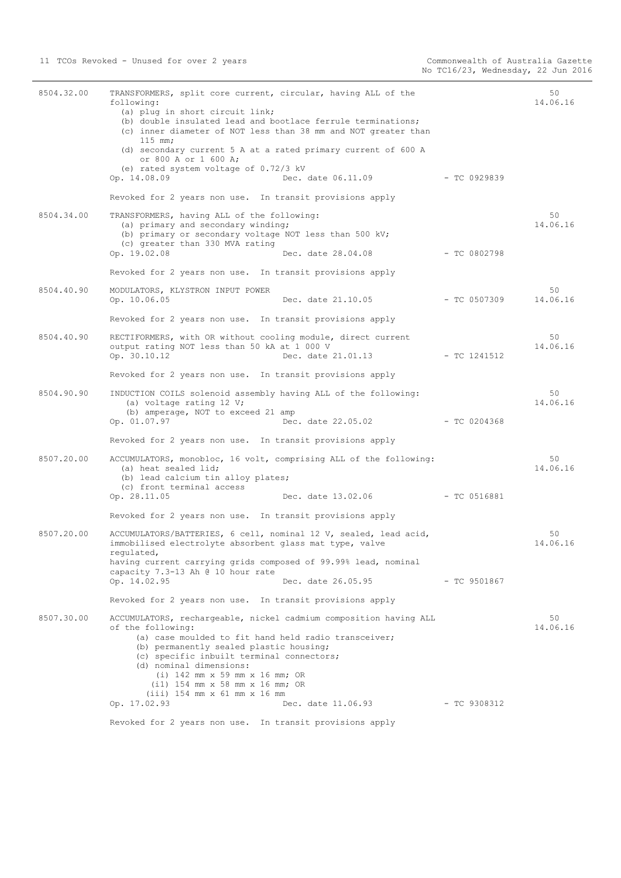| 8504.32.00 | TRANSFORMERS, split core current, circular, having ALL of the<br>following:<br>(a) plug in short circuit link;<br>(b) double insulated lead and bootlace ferrule terminations;<br>(c) inner diameter of NOT less than 38 mm and NOT greater than<br>$115$ mm;<br>(d) secondary current 5 A at a rated primary current of 600 A<br>or 800 A or 1 600 A;<br>(e) rated system voltage of $0.72/3$ kV<br>Op. 14.08.09<br>Dec. date 06.11.09<br>Revoked for 2 years non use. In transit provisions apply | - TC 0929839   | 50<br>14.06.16 |
|------------|-----------------------------------------------------------------------------------------------------------------------------------------------------------------------------------------------------------------------------------------------------------------------------------------------------------------------------------------------------------------------------------------------------------------------------------------------------------------------------------------------------|----------------|----------------|
|            |                                                                                                                                                                                                                                                                                                                                                                                                                                                                                                     |                |                |
| 8504.34.00 | TRANSFORMERS, having ALL of the following:<br>(a) primary and secondary winding;<br>(b) primary or secondary voltage NOT less than 500 kV;<br>(c) greater than 330 MVA rating<br>Op. 19.02.08<br>Dec. date 28.04.08                                                                                                                                                                                                                                                                                 | $-$ TC 0802798 | 50<br>14.06.16 |
|            | Revoked for 2 years non use. In transit provisions apply                                                                                                                                                                                                                                                                                                                                                                                                                                            |                |                |
| 8504.40.90 | MODULATORS, KLYSTRON INPUT POWER<br>Op. 10.06.05<br>Dec. date 21.10.05                                                                                                                                                                                                                                                                                                                                                                                                                              | - TC 0507309   | 50<br>14.06.16 |
|            | Revoked for 2 years non use. In transit provisions apply                                                                                                                                                                                                                                                                                                                                                                                                                                            |                |                |
| 8504.40.90 | RECTIFORMERS, with OR without cooling module, direct current<br>output rating NOT less than 50 kA at 1 000 V<br>Dec. date 21.01.13<br>Op. 30.10.12                                                                                                                                                                                                                                                                                                                                                  | - TC 1241512   | 50<br>14.06.16 |
|            | Revoked for 2 years non use. In transit provisions apply                                                                                                                                                                                                                                                                                                                                                                                                                                            |                |                |
| 8504.90.90 | INDUCTION COILS solenoid assembly having ALL of the following:<br>(a) voltage rating 12 V;<br>(b) amperage, NOT to exceed 21 amp<br>Op. 01.07.97<br>Dec. date 22.05.02                                                                                                                                                                                                                                                                                                                              | - TC 0204368   | 50<br>14.06.16 |
|            | Revoked for 2 years non use. In transit provisions apply                                                                                                                                                                                                                                                                                                                                                                                                                                            |                |                |
| 8507.20.00 | ACCUMULATORS, monobloc, 16 volt, comprising ALL of the following:<br>(a) heat sealed lid;<br>(b) lead calcium tin alloy plates;<br>(c) front terminal access                                                                                                                                                                                                                                                                                                                                        |                | 50<br>14.06.16 |
|            | Op. 28.11.05<br>Dec. date 13.02.06 - TC 0516881                                                                                                                                                                                                                                                                                                                                                                                                                                                     |                |                |
| 8507.20.00 | Revoked for 2 years non use. In transit provisions apply                                                                                                                                                                                                                                                                                                                                                                                                                                            |                | 50             |
|            | ACCUMULATORS/BATTERIES, 6 cell, nominal 12 V, sealed, lead acid,<br>immobilised electrolyte absorbent glass mat type, valve<br>regulated,<br>having current carrying grids composed of 99.99% lead, nominal                                                                                                                                                                                                                                                                                         |                | 14.06.16       |
|            | capacity 7.3-13 Ah @ 10 hour rate<br>Op. 14.02.95<br>Dec. date 26.05.95                                                                                                                                                                                                                                                                                                                                                                                                                             | - TC 9501867   |                |
|            | Revoked for 2 years non use. In transit provisions apply                                                                                                                                                                                                                                                                                                                                                                                                                                            |                |                |
| 8507.30.00 | ACCUMULATORS, rechargeable, nickel cadmium composition having ALL<br>of the following:<br>(a) case moulded to fit hand held radio transceiver;<br>(b) permanently sealed plastic housing;<br>(c) specific inbuilt terminal connectors;<br>(d) nominal dimensions:<br>$(i)$ 142 mm x 59 mm x 16 mm; OR<br>$(i1)$ 154 mm x 58 mm x 16 mm; OR<br>$(iii)$ 154 mm x 61 mm x 16 mm                                                                                                                        |                | 50<br>14.06.16 |
|            | Op. 17.02.93<br>Dec. date 11.06.93                                                                                                                                                                                                                                                                                                                                                                                                                                                                  | - TC 9308312   |                |
|            | Revoked for 2 years non use. In transit provisions apply                                                                                                                                                                                                                                                                                                                                                                                                                                            |                |                |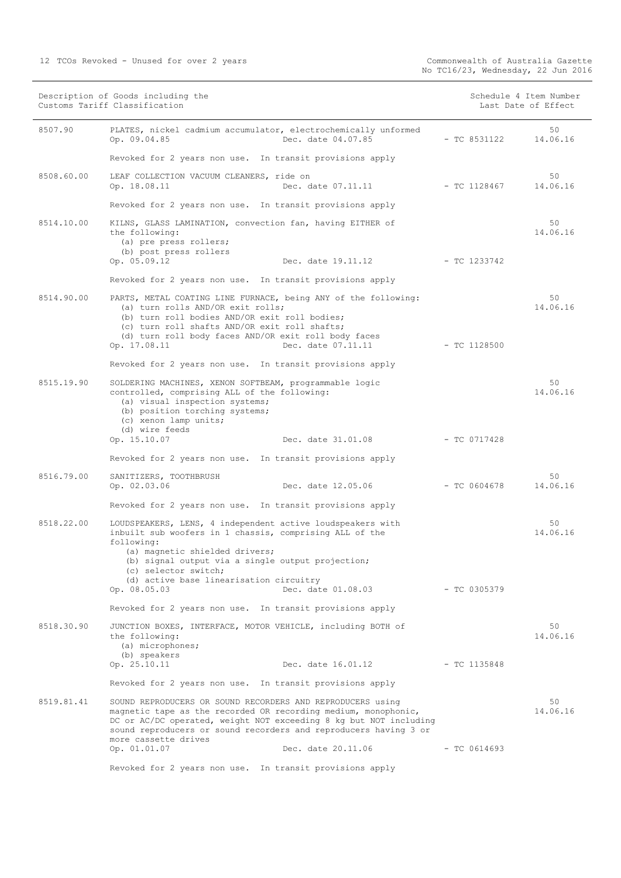| Description of Goods including the<br>Customs Tariff Classification |                                                                                                                                                                                                                                                                                                                                     | Schedule 4 Item Number<br>Last Date of Effect |                |
|---------------------------------------------------------------------|-------------------------------------------------------------------------------------------------------------------------------------------------------------------------------------------------------------------------------------------------------------------------------------------------------------------------------------|-----------------------------------------------|----------------|
| 8507.90                                                             | PLATES, nickel cadmium accumulator, electrochemically unformed<br>Dec. date 04.07.85<br>Op. 09.04.85                                                                                                                                                                                                                                | $-$ TC 8531122                                | 50<br>14.06.16 |
|                                                                     | Revoked for 2 years non use. In transit provisions apply                                                                                                                                                                                                                                                                            |                                               |                |
| 8508.60.00                                                          | LEAF COLLECTION VACUUM CLEANERS, ride on<br>Op. 18.08.11<br>Dec. date 07.11.11                                                                                                                                                                                                                                                      | - TC 1128467                                  | 50<br>14.06.16 |
|                                                                     | Revoked for 2 years non use. In transit provisions apply                                                                                                                                                                                                                                                                            |                                               |                |
| 8514.10.00                                                          | KILNS, GLASS LAMINATION, convection fan, having EITHER of<br>the following:<br>(a) pre press rollers;<br>(b) post press rollers<br>Op. 05.09.12<br>Dec. date 19.11.12                                                                                                                                                               | - TC 1233742                                  | 50<br>14.06.16 |
|                                                                     | Revoked for 2 years non use. In transit provisions apply                                                                                                                                                                                                                                                                            |                                               |                |
| 8514.90.00                                                          | PARTS, METAL COATING LINE FURNACE, being ANY of the following:<br>(a) turn rolls AND/OR exit rolls;<br>(b) turn roll bodies AND/OR exit roll bodies;<br>(c) turn roll shafts AND/OR exit roll shafts;<br>(d) turn roll body faces AND/OR exit roll body faces<br>Op. 17.08.11<br>Dec. date 07.11.11                                 | - TC 1128500                                  | 50<br>14.06.16 |
|                                                                     | Revoked for 2 years non use. In transit provisions apply                                                                                                                                                                                                                                                                            |                                               |                |
| 8515.19.90                                                          | SOLDERING MACHINES, XENON SOFTBEAM, programmable logic<br>controlled, comprising ALL of the following:<br>(a) visual inspection systems;<br>(b) position torching systems;<br>(c) xenon lamp units;<br>(d) wire feeds                                                                                                               |                                               | 50<br>14.06.16 |
|                                                                     | Dec. date 31.01.08<br>Op. 15.10.07                                                                                                                                                                                                                                                                                                  | - TC 0717428                                  |                |
|                                                                     | Revoked for 2 years non use. In transit provisions apply                                                                                                                                                                                                                                                                            |                                               |                |
| 8516.79.00                                                          | SANITIZERS, TOOTHBRUSH<br>Op. 02.03.06<br>Dec. date 12.05.06                                                                                                                                                                                                                                                                        | $-$ TC 0604678                                | 50<br>14.06.16 |
|                                                                     | Revoked for 2 years non use. In transit provisions apply                                                                                                                                                                                                                                                                            |                                               |                |
| 8518.22.00                                                          | LOUDSPEAKERS, LENS, 4 independent active loudspeakers with<br>inbuilt sub woofers in 1 chassis, comprising ALL of the<br>following:<br>(a) magnetic shielded drivers;<br>(b) signal output via a single output projection;<br>(c) selector switch;                                                                                  |                                               | 50<br>14.06.16 |
|                                                                     | (d) active base linearisation circuitry<br>Dec. date 01.08.03<br>Op. 08.05.03                                                                                                                                                                                                                                                       | - TC 0305379                                  |                |
|                                                                     | Revoked for 2 years non use. In transit provisions apply                                                                                                                                                                                                                                                                            |                                               |                |
| 8518.30.90                                                          | JUNCTION BOXES, INTERFACE, MOTOR VEHICLE, including BOTH of<br>the following:<br>(a) microphones;<br>(b) speakers                                                                                                                                                                                                                   |                                               | 50<br>14.06.16 |
|                                                                     | Dec. date 16.01.12<br>Op. 25.10.11                                                                                                                                                                                                                                                                                                  | - TC 1135848                                  |                |
|                                                                     | Revoked for 2 years non use. In transit provisions apply                                                                                                                                                                                                                                                                            |                                               |                |
| 8519.81.41                                                          | SOUND REPRODUCERS OR SOUND RECORDERS AND REPRODUCERS using<br>magnetic tape as the recorded OR recording medium, monophonic,<br>DC or AC/DC operated, weight NOT exceeding 8 kg but NOT including<br>sound reproducers or sound recorders and reproducers having 3 or<br>more cassette drives<br>Op. 01.01.07<br>Dec. date 20.11.06 | $-$ TC 0614693                                | 50<br>14.06.16 |
|                                                                     |                                                                                                                                                                                                                                                                                                                                     |                                               |                |

Revoked for 2 years non use. In transit provisions apply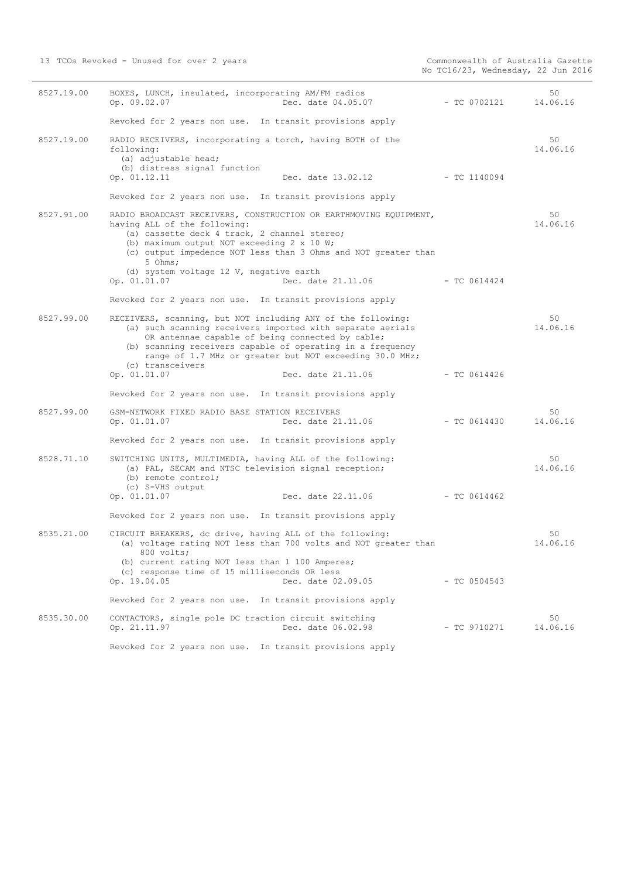| 8527.19.00 | BOXES, LUNCH, insulated, incorporating AM/FM radios<br>Op. 09.02.07<br>Dec. date 04.05.07                                                                                                                                                                                                                                                                         | - TC 0702121   | 50<br>14.06.16 |
|------------|-------------------------------------------------------------------------------------------------------------------------------------------------------------------------------------------------------------------------------------------------------------------------------------------------------------------------------------------------------------------|----------------|----------------|
|            | Revoked for 2 years non use. In transit provisions apply                                                                                                                                                                                                                                                                                                          |                |                |
| 8527.19.00 | RADIO RECEIVERS, incorporating a torch, having BOTH of the<br>following:<br>(a) adjustable head;<br>(b) distress signal function<br>Op. 01.12.11<br>Dec. date 13.02.12                                                                                                                                                                                            | $-$ TC 1140094 | 50<br>14.06.16 |
|            | Revoked for 2 years non use. In transit provisions apply                                                                                                                                                                                                                                                                                                          |                |                |
| 8527.91.00 | RADIO BROADCAST RECEIVERS, CONSTRUCTION OR EARTHMOVING EQUIPMENT,<br>having ALL of the following:<br>(a) cassette deck 4 track, 2 channel stereo;<br>(b) maximum output NOT exceeding 2 x 10 W;<br>(c) output impedence NOT less than 3 Ohms and NOT greater than<br>5 Ohms;                                                                                      |                | 50<br>14.06.16 |
|            | (d) system voltage 12 V, negative earth<br>Dec. date 21.11.06<br>Op. 01.01.07                                                                                                                                                                                                                                                                                     | - TC 0614424   |                |
|            | Revoked for 2 years non use. In transit provisions apply                                                                                                                                                                                                                                                                                                          |                |                |
| 8527.99.00 | RECEIVERS, scanning, but NOT including ANY of the following:<br>(a) such scanning receivers imported with separate aerials<br>OR antennae capable of being connected by cable;<br>(b) scanning receivers capable of operating in a frequency<br>range of 1.7 MHz or greater but NOT exceeding 30.0 MHz;<br>(c) transceivers<br>Op. 01.01.07<br>Dec. date 21.11.06 | $-$ TC 0614426 | 50<br>14.06.16 |
|            | Revoked for 2 years non use. In transit provisions apply                                                                                                                                                                                                                                                                                                          |                |                |
| 8527.99.00 | GSM-NETWORK FIXED RADIO BASE STATION RECEIVERS<br>Dec. date 21.11.06<br>Op. 01.01.07<br>Revoked for 2 years non use. In transit provisions apply                                                                                                                                                                                                                  | $-$ TC 0614430 | 50<br>14.06.16 |
| 8528.71.10 | SWITCHING UNITS, MULTIMEDIA, having ALL of the following:<br>(a) PAL, SECAM and NTSC television signal reception;<br>(b) remote control;<br>(c) S-VHS output<br>Dec. date 22.11.06<br>Op. 01.01.07                                                                                                                                                                | $-$ TC 0614462 | 50<br>14.06.16 |
|            | Revoked for 2 years non use. In transit provisions apply                                                                                                                                                                                                                                                                                                          |                |                |
| 8535.21.00 | CIRCUIT BREAKERS, dc drive, having ALL of the following:<br>(a) voltage rating NOT less than 700 volts and NOT greater than<br>800 volts;<br>(b) current rating NOT less than 1 100 Amperes;<br>(c) response time of 15 milliseconds OR less<br>Dec. date 02.09.05<br>Op. 19.04.05                                                                                | $-$ TC 0504543 | 50<br>14.06.16 |
|            | Revoked for 2 years non use. In transit provisions apply                                                                                                                                                                                                                                                                                                          |                |                |
| 8535.30.00 | CONTACTORS, single pole DC traction circuit switching<br>Op. 21.11.97<br>Dec. date 06.02.98                                                                                                                                                                                                                                                                       | $-$ TC 9710271 | 50<br>14.06.16 |
|            | Revoked for 2 years non use. In transit provisions apply                                                                                                                                                                                                                                                                                                          |                |                |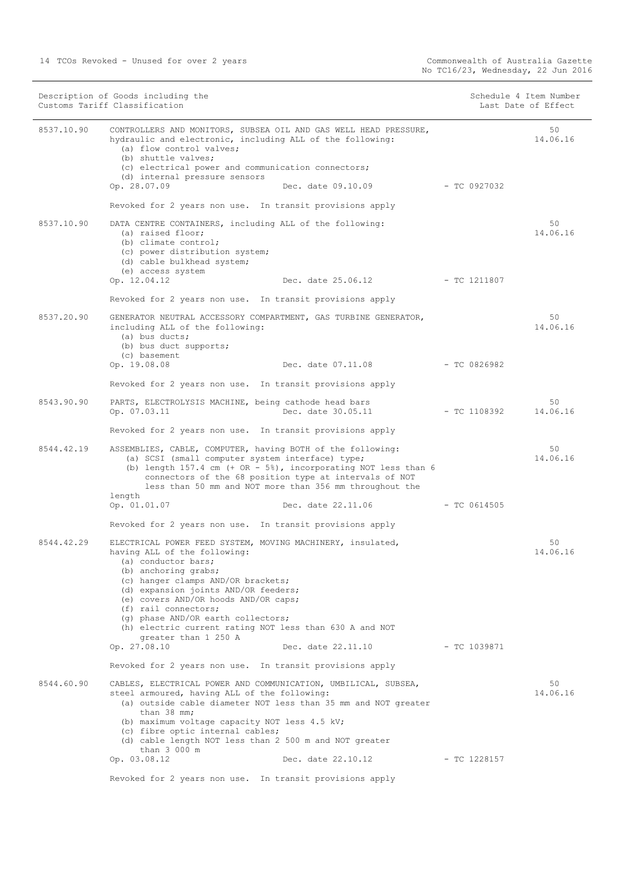|            | Description of Goods including the<br>Customs Tariff Classification                                                                                                                                                                                                                                                                            |                                 | Schedule 4 Item Number<br>Last Date of Effect |
|------------|------------------------------------------------------------------------------------------------------------------------------------------------------------------------------------------------------------------------------------------------------------------------------------------------------------------------------------------------|---------------------------------|-----------------------------------------------|
| 8537.10.90 | CONTROLLERS AND MONITORS, SUBSEA OIL AND GAS WELL HEAD PRESSURE,<br>hydraulic and electronic, including ALL of the following:<br>(a) flow control valves;<br>(b) shuttle valves:<br>(c) electrical power and communication connectors;                                                                                                         |                                 | 50<br>14.06.16                                |
|            | (d) internal pressure sensors<br>Op. 28.07.09<br>Dec. date 09.10.09                                                                                                                                                                                                                                                                            |                                 | - TC 0927032                                  |
|            | Revoked for 2 years non use. In transit provisions apply                                                                                                                                                                                                                                                                                       |                                 |                                               |
|            |                                                                                                                                                                                                                                                                                                                                                |                                 |                                               |
| 8537.10.90 | DATA CENTRE CONTAINERS, including ALL of the following:<br>(a) raised floor;<br>(b) climate control;<br>(c) power distribution system;<br>(d) cable bulkhead system;<br>(e) access system                                                                                                                                                      |                                 | 50<br>14.06.16                                |
|            | Op. 12.04.12                                                                                                                                                                                                                                                                                                                                   | Dec. date 25.06.12 - TC 1211807 |                                               |
|            | Revoked for 2 years non use. In transit provisions apply                                                                                                                                                                                                                                                                                       |                                 |                                               |
| 8537.20.90 | GENERATOR NEUTRAL ACCESSORY COMPARTMENT, GAS TURBINE GENERATOR,<br>including ALL of the following:<br>(a) bus ducts;<br>(b) bus duct supports;                                                                                                                                                                                                 |                                 | 50<br>14.06.16                                |
|            | (c) basement<br>Dec. date 07.11.08<br>Op. 19.08.08                                                                                                                                                                                                                                                                                             | $-$ TC 0826982                  |                                               |
|            | Revoked for 2 years non use. In transit provisions apply                                                                                                                                                                                                                                                                                       |                                 |                                               |
| 8543.90.90 | PARTS, ELECTROLYSIS MACHINE, being cathode head bars<br>Op. 07.03.11<br>Dec. date 30.05.11                                                                                                                                                                                                                                                     |                                 | 50<br>14.06.16<br>- TC 1108392                |
|            | Revoked for 2 years non use. In transit provisions apply                                                                                                                                                                                                                                                                                       |                                 |                                               |
| 8544.42.19 | ASSEMBLIES, CABLE, COMPUTER, having BOTH of the following:<br>(a) SCSI (small computer system interface) type;<br>(b) length $157.4$ cm (+ OR - $5\%$ ), incorporating NOT less than 6<br>connectors of the 68 position type at intervals of NOT<br>less than 50 mm and NOT more than 356 mm throughout the                                    |                                 | 50<br>14.06.16                                |
|            | length<br>Op. 01.01.07                                                                                                                                                                                                                                                                                                                         | Dec. date 22.11.06              | $-$ TC 0614505                                |
|            | Revoked for 2 years non use. In transit provisions apply                                                                                                                                                                                                                                                                                       |                                 |                                               |
| 8544.42.29 | ELECTRICAL POWER FEED SYSTEM, MOVING MACHINERY, insulated,<br>having ALL of the following:<br>(a) conductor bars;<br>(b) anchoring grabs;<br>(c) hanger clamps AND/OR brackets;<br>(d) expansion joints AND/OR feeders;<br>(e) covers AND/OR hoods AND/OR caps;<br>(f) rail connectors;<br>(q) phase AND/OR earth collectors;                  |                                 | 50<br>14.06.16                                |
|            | (h) electric current rating NOT less than 630 A and NOT<br>greater than 1 250 A                                                                                                                                                                                                                                                                |                                 |                                               |
|            | Dec. date 22.11.10<br>Op. 27.08.10                                                                                                                                                                                                                                                                                                             |                                 | - TC 1039871                                  |
|            | Revoked for 2 years non use. In transit provisions apply                                                                                                                                                                                                                                                                                       |                                 |                                               |
| 8544.60.90 | CABLES, ELECTRICAL POWER AND COMMUNICATION, UMBILICAL, SUBSEA,<br>steel armoured, having ALL of the following:<br>(a) outside cable diameter NOT less than 35 mm and NOT greater<br>than 38 mm;<br>(b) maximum voltage capacity NOT less 4.5 kV;<br>(c) fibre optic internal cables;<br>(d) cable length NOT less than 2 500 m and NOT greater |                                 | 50<br>14.06.16                                |
|            | than 3 000 m<br>Op. 03.08.12<br>Dec. date 22.10.12                                                                                                                                                                                                                                                                                             |                                 | - TC 1228157                                  |
|            | Revoked for 2 years non use. In transit provisions apply                                                                                                                                                                                                                                                                                       |                                 |                                               |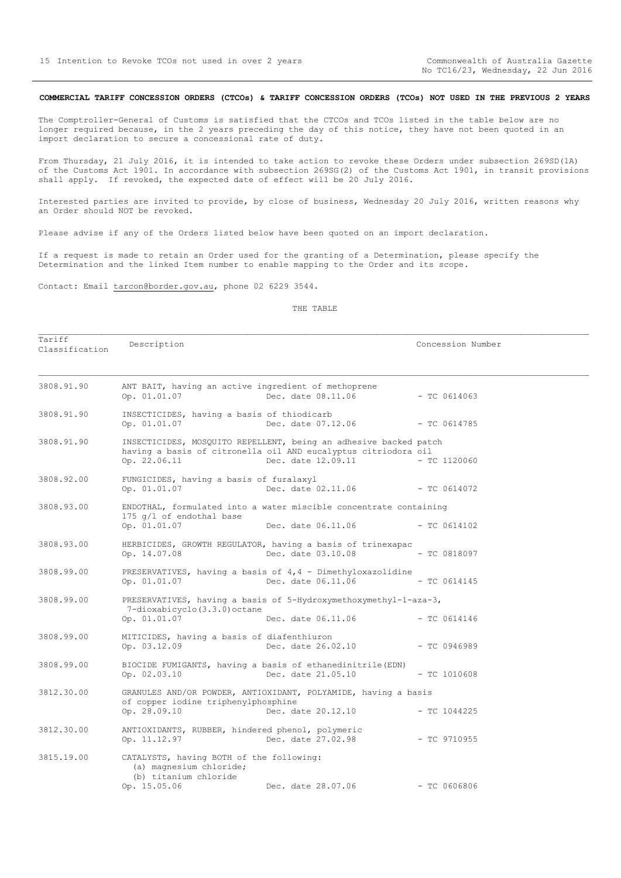## <span id="page-14-0"></span>**COMMERCIAL TARIFF CONCESSION ORDERS (CTCOs) & TARIFF CONCESSION ORDERS (TCOs) NOT USED IN THE PREVIOUS 2 YEARS**

The Comptroller-General of Customs is satisfied that the CTCOs and TCOs listed in the table below are no longer required because, in the 2 years preceding the day of this notice, they have not been quoted in an import declaration to secure a concessional rate of duty.

From Thursday, 21 July 2016, it is intended to take action to revoke these Orders under subsection 269SD(1A) of the Customs Act 1901. In accordance with subsection 269SG(2) of the Customs Act 1901, in transit provisions shall apply. If revoked, the expected date of effect will be 20 July 2016.

Interested parties are invited to provide, by close of business, Wednesday 20 July 2016, written reasons why an Order should NOT be revoked.

Please advise if any of the Orders listed below have been quoted on an import declaration.

If a request is made to retain an Order used for the granting of a Determination, please specify the Determination and the linked Item number to enable mapping to the Order and its scope.

Contact: Email tarcon@border.gov.au, phone 02 6229 3544.

#### THE TABLE

Tariff<br>Classification Description  $\blacksquare$ 

| 3808.91.90 | ANT BAIT, having an active ingredient of methoprene<br>Op. 01.01.07                                          | Dec. date 08.11.06                                                                                                                                       | $-$ TC 0614063 |
|------------|--------------------------------------------------------------------------------------------------------------|----------------------------------------------------------------------------------------------------------------------------------------------------------|----------------|
| 3808.91.90 | INSECTICIDES, having a basis of thiodicarb<br>Op. 01.01.07                                                   | Dec. date 07.12.06 - TC 0614785                                                                                                                          |                |
| 3808.91.90 | Op. 22.06.11                                                                                                 | INSECTICIDES, MOSQUITO REPELLENT, being an adhesive backed patch<br>having a basis of citronella oil AND eucalyptus citriodora oil<br>Dec. date 12.09.11 | $-$ TC 1120060 |
| 3808.92.00 | FUNGICIDES, having a basis of furalaxyl<br>Op. 01.01.07                                                      | Dec. date 02.11.06 - TC 0614072                                                                                                                          |                |
| 3808.93.00 | 175 q/l of endothal base<br>Op. 01.01.07                                                                     | ENDOTHAL, formulated into a water miscible concentrate containing<br>Dec. date 06.11.06 - TC 0614102                                                     |                |
| 3808.93.00 | Op. 14.07.08                                                                                                 | HERBICIDES, GROWTH REGULATOR, having a basis of trinexapac<br>Dec. date 03.10.08                                                                         | $-$ TC 0818097 |
| 3808.99.00 |                                                                                                              | PRESERVATIVES, having a basis of 4,4 - Dimethyloxazolidine<br>Op. 01.01.07 Dec. date 06.11.06 - TC 0614145                                               |                |
| 3808.99.00 | 7-dioxabicyclo(3.3.0) octane<br>Op. 01.01.07                                                                 | PRESERVATIVES, having a basis of 5-Hydroxymethoxymethyl-1-aza-3,<br>Dec. date 06.11.06                                                                   | $-$ TC 0614146 |
| 3808.99.00 | MITICIDES, having a basis of diafenthiuron<br>Op. 03.12.09                                                   | Dec. date 26.02.10                                                                                                                                       | $-$ TC 0946989 |
| 3808.99.00 | Op. $02.03.10$                                                                                               | BIOCIDE FUMIGANTS, having a basis of ethanedinitrile (EDN)<br>Dec. date 21.05.10                                                                         | $-$ TC 1010608 |
| 3812.30.00 | of copper iodine triphenylphosphine<br>Op. 28.09.10                                                          | GRANULES AND/OR POWDER, ANTIOXIDANT, POLYAMIDE, having a basis<br>Dec. date 20.12.10                                                                     | $-$ TC 1044225 |
| 3812.30.00 | ANTIOXIDANTS, RUBBER, hindered phenol, polymeric<br>Op. 11.12.97                                             | Dec. date 27.02.98                                                                                                                                       | $-$ TC 9710955 |
| 3815.19.00 | CATALYSTS, having BOTH of the following:<br>(a) magnesium chloride;<br>(b) titanium chloride<br>Op. 15.05.06 | Dec. date 28.07.06                                                                                                                                       | $-$ TC 0606806 |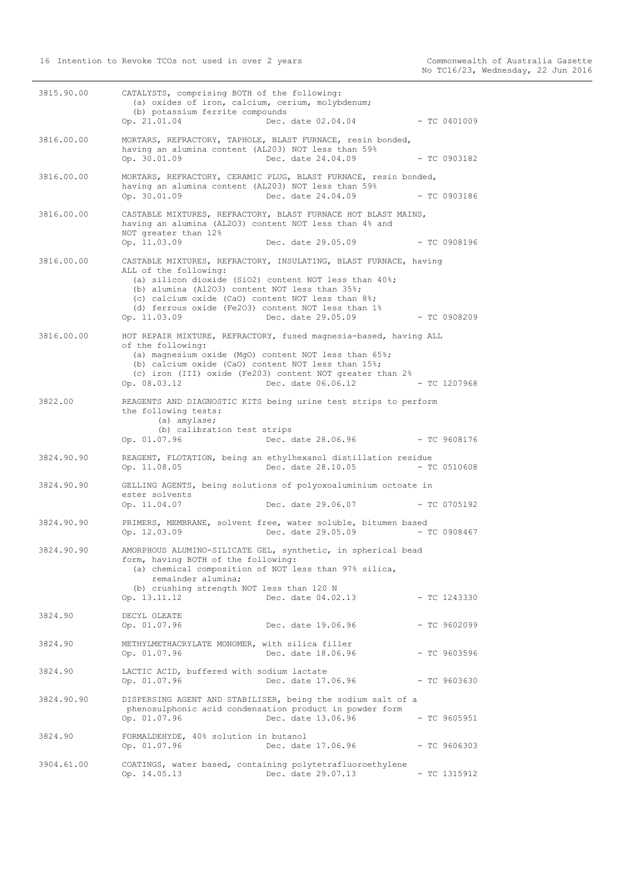| 3815.90.00 | CATALYSTS, comprising BOTH of the following:<br>(a) oxides of iron, calcium, cerium, molybdenum;<br>(b) potassium ferrite compounds<br>Op. 21.01.04<br>$Dec. date 02.04.04$ - TC 0401009                                                                                                                                |
|------------|-------------------------------------------------------------------------------------------------------------------------------------------------------------------------------------------------------------------------------------------------------------------------------------------------------------------------|
| 3816.00.00 | MORTARS, REFRACTORY, TAPHOLE, BLAST FURNACE, resin bonded,<br>having an alumina content (AL203) NOT less than 59%<br>Op. 30.01.09<br>Dec. date 24.04.09<br>$-TC0903182$                                                                                                                                                 |
| 3816.00.00 | MORTARS, REFRACTORY, CERAMIC PLUG, BLAST FURNACE, resin bonded,<br>having an alumina content (AL203) NOT less than 59%<br>Op. 30.01.09<br>Dec. date 24.04.09<br>- TC 0903186                                                                                                                                            |
| 3816.00.00 | CASTABLE MIXTURES, REFRACTORY, BLAST FURNACE HOT BLAST MAINS,<br>having an alumina (AL2O3) content NOT less than 4% and<br>NOT greater than 12%<br>Op. 11.03.09<br>Dec. date 29.05.09<br>$-$ TC 0908196                                                                                                                 |
| 3816.00.00 | CASTABLE MIXTURES, REFRACTORY, INSULATING, BLAST FURNACE, having<br>ALL of the following:<br>(a) silicon dioxide (SiO2) content NOT less than $40\$ ;<br>(b) alumina (A1203) content NOT less than 35%;<br>(c) calcium oxide (CaO) content NOT less than 8%;<br>(d) ferrous oxide (Fe2O3) content NOT less than 1%      |
|            | Op. 11.03.09<br>Dec. date 29.05.09<br>$-$ TC 0908209                                                                                                                                                                                                                                                                    |
| 3816.00.00 | HOT REPAIR MIXTURE, REFRACTORY, fused magnesia-based, having ALL<br>of the following:<br>(a) magnesium oxide (MgO) content NOT less than 65%;<br>(b) calcium oxide (CaO) content NOT less than 15%;<br>(c) iron (III) oxide (Fe203) content NOT greater than 2%<br>Dec. date 06.06.12<br>Op. 08.03.12<br>$-$ TC 1207968 |
| 3822.00    | REAGENTS AND DIAGNOSTIC KITS being urine test strips to perform<br>the following tests:<br>(a) amylase;<br>(b) calibration test strips<br>Op. 01.07.96<br>Dec. date 28.06.96<br>- TC 9608176                                                                                                                            |
| 3824.90.90 | REAGENT, FLOTATION, being an ethylhexanol distillation residue<br>Op. 11.08.05<br>Dec. date 28.10.05<br>$-$ TC 0510608                                                                                                                                                                                                  |
| 3824.90.90 | GELLING AGENTS, being solutions of polyoxoaluminium octoate in<br>ester solvents<br>Op. 11.04.07<br>Dec. date 29.06.07 - TC 0705192                                                                                                                                                                                     |
| 3824.90.90 | PRIMERS, MEMBRANE, solvent free, water soluble, bitumen based<br>Op. 12.03.09<br>Dec. date 29.05.09 - TC 0908467                                                                                                                                                                                                        |
| 3824.90.90 | AMORPHOUS ALUMINO-SILICATE GEL, synthetic, in spherical bead<br>form, having BOTH of the following:<br>(a) chemical composition of NOT less than 97% silica,<br>remainder alumina;<br>(b) crushing strength NOT less than 120 N<br>Op. 13.11.12<br>Dec. date 04.02.13<br>$-$ TC 1243330                                 |
| 3824.90    | DECYL OLEATE<br>Op. 01.07.96<br>Dec. date 19.06.96<br>$-$ TC 9602099                                                                                                                                                                                                                                                    |
| 3824.90    | METHYLMETHACRYLATE MONOMER, with silica filler<br>Op. 01.07.96<br>Dec. date 18.06.96<br>$-$ TC 9603596                                                                                                                                                                                                                  |
| 3824.90    | LACTIC ACID, buffered with sodium lactate<br>Op. 01.07.96<br>Dec. date 17.06.96<br>$-$ TC 9603630                                                                                                                                                                                                                       |
| 3824.90.90 | DISPERSING AGENT AND STABILISER, being the sodium salt of a<br>phenosulphonic acid condensation product in powder form<br>Op. 01.07.96<br>Dec. date 13.06.96<br>$- TC 9605951$                                                                                                                                          |
| 3824.90    | FORMALDEHYDE, 40% solution in butanol<br>Op. 01.07.96<br>Dec. date 17.06.96<br>$-$ TC 9606303                                                                                                                                                                                                                           |
| 3904.61.00 | COATINGS, water based, containing polytetrafluoroethylene<br>Dec. date 29.07.13<br>Op. 14.05.13<br>- TC 1315912                                                                                                                                                                                                         |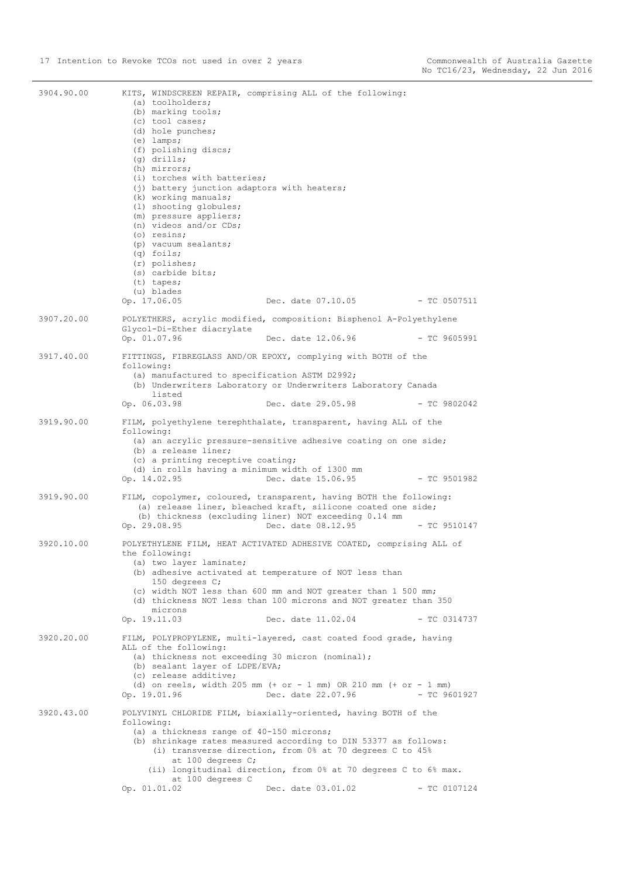| 3904.90.00 | (a) toolholders;<br>(b) marking tools;<br>(c) tool cases;<br>(d) hole punches;<br>$(e)$ lamps;<br>(f) polishing discs;<br>$(q)$ drills;<br>(h) mirrors;<br>(i) torches with batteries;<br>(j) battery junction adaptors with heaters;<br>(k) working manuals;<br>(1) shooting globules;<br>(m) pressure appliers;<br>(n) videos and/or CDs;<br>(o) resins;<br>(p) vacuum sealants;<br>$(q)$ foils;<br>(r) polishes;<br>(s) carbide bits;<br>$(t)$ tapes;<br>(u) blades | KITS, WINDSCREEN REPAIR, comprising ALL of the following:                                                                                                                                   |                |  |
|------------|------------------------------------------------------------------------------------------------------------------------------------------------------------------------------------------------------------------------------------------------------------------------------------------------------------------------------------------------------------------------------------------------------------------------------------------------------------------------|---------------------------------------------------------------------------------------------------------------------------------------------------------------------------------------------|----------------|--|
|            | Op. 17.06.05                                                                                                                                                                                                                                                                                                                                                                                                                                                           | Dec. date 07.10.05                                                                                                                                                                          | $-$ TC 0507511 |  |
| 3907.20.00 | Glycol-Di-Ether diacrylate                                                                                                                                                                                                                                                                                                                                                                                                                                             | POLYETHERS, acrylic modified, composition: Bisphenol A-Polyethylene                                                                                                                         |                |  |
|            | Op. 01.07.96                                                                                                                                                                                                                                                                                                                                                                                                                                                           | Dec. date 12.06.96                                                                                                                                                                          | $-$ TC 9605991 |  |
| 3917.40.00 |                                                                                                                                                                                                                                                                                                                                                                                                                                                                        | FITTINGS, FIBREGLASS AND/OR EPOXY, complying with BOTH of the                                                                                                                               |                |  |
|            | following:<br>(a) manufactured to specification ASTM D2992;<br>listed                                                                                                                                                                                                                                                                                                                                                                                                  | (b) Underwriters Laboratory or Underwriters Laboratory Canada                                                                                                                               |                |  |
|            | Op. 06.03.98                                                                                                                                                                                                                                                                                                                                                                                                                                                           | Dec. date 29.05.98                                                                                                                                                                          | $- TC 9802042$ |  |
| 3919.90.00 | following:                                                                                                                                                                                                                                                                                                                                                                                                                                                             | FILM, polyethylene terephthalate, transparent, having ALL of the                                                                                                                            |                |  |
|            | (b) a release liner;<br>(c) a printing receptive coating;<br>(d) in rolls having a minimum width of 1300 mm<br>Op. 14.02.95                                                                                                                                                                                                                                                                                                                                            | (a) an acrylic pressure-sensitive adhesive coating on one side;<br>Dec. date 15.06.95                                                                                                       | $-$ TC 9501982 |  |
| 3919.90.00 |                                                                                                                                                                                                                                                                                                                                                                                                                                                                        | FILM, copolymer, coloured, transparent, having BOTH the following:<br>(a) release liner, bleached kraft, silicone coated one side;<br>(b) thickness (excluding liner) NOT exceeding 0.14 mm |                |  |
|            | Op. 29.08.95                                                                                                                                                                                                                                                                                                                                                                                                                                                           | Dec. date 08.12.95                                                                                                                                                                          | $-$ TC 9510147 |  |
| 3920.10.00 | the following:<br>(a) two layer laminate;                                                                                                                                                                                                                                                                                                                                                                                                                              | POLYETHYLENE FILM, HEAT ACTIVATED ADHESIVE COATED, comprising ALL of<br>(b) adhesive activated at temperature of NOT less than                                                              |                |  |
|            | 150 degrees $C$ ;<br>microns                                                                                                                                                                                                                                                                                                                                                                                                                                           | (c) width NOT less than 600 mm and NOT greater than 1 500 mm;<br>(d) thickness NOT less than 100 microns and NOT greater than 350                                                           |                |  |
|            | Op. 19.11.03                                                                                                                                                                                                                                                                                                                                                                                                                                                           | Dec. date 11.02.04                                                                                                                                                                          | $-$ TC 0314737 |  |
| 3920.20.00 | ALL of the following:                                                                                                                                                                                                                                                                                                                                                                                                                                                  | FILM, POLYPROPYLENE, multi-layered, cast coated food grade, having                                                                                                                          |                |  |
|            | (a) thickness not exceeding 30 micron (nominal);<br>(b) sealant layer of LDPE/EVA;<br>(c) release additive;                                                                                                                                                                                                                                                                                                                                                            |                                                                                                                                                                                             |                |  |
|            | Op. 19.01.96                                                                                                                                                                                                                                                                                                                                                                                                                                                           | (d) on reels, width 205 mm $(+ or - 1$ mm) OR 210 mm $(+ or - 1$ mm)<br>Dec. date 22.07.96                                                                                                  | $- TC 9601927$ |  |
| 3920.43.00 | following:                                                                                                                                                                                                                                                                                                                                                                                                                                                             | POLYVINYL CHLORIDE FILM, biaxially-oriented, having BOTH of the                                                                                                                             |                |  |
|            | (a) a thickness range of 40-150 microns;<br>at 100 degrees C;                                                                                                                                                                                                                                                                                                                                                                                                          | (b) shrinkage rates measured according to DIN 53377 as follows:<br>(i) transverse direction, from 0% at 70 degrees C to 45%                                                                 |                |  |
|            | at 100 degrees C                                                                                                                                                                                                                                                                                                                                                                                                                                                       | (ii) longitudinal direction, from 0% at 70 degrees C to 6% max.                                                                                                                             |                |  |
|            | Op. 01.01.02                                                                                                                                                                                                                                                                                                                                                                                                                                                           | Dec. date 03.01.02                                                                                                                                                                          | $-$ TC 0107124 |  |